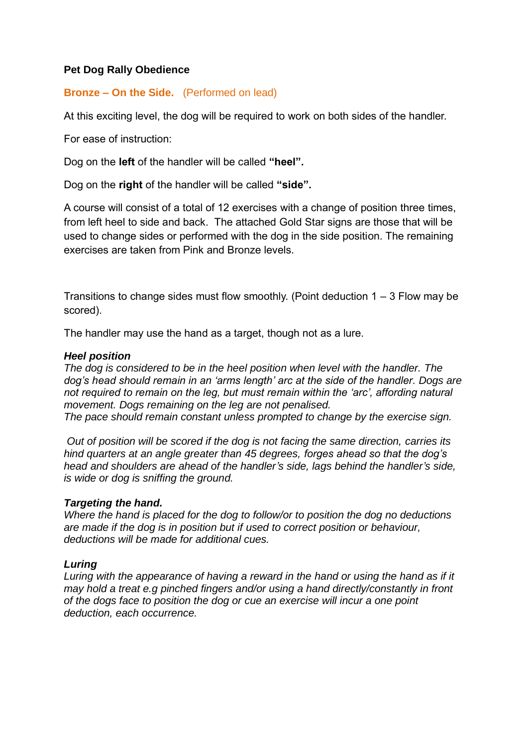### **Pet Dog Rally Obedience**

### **Bronze – On the Side.** (Performed on lead)

At this exciting level, the dog will be required to work on both sides of the handler.

For ease of instruction:

Dog on the **left** of the handler will be called **"heel".**

Dog on the **right** of the handler will be called **"side".**

A course will consist of a total of 12 exercises with a change of position three times, from left heel to side and back. The attached Gold Star signs are those that will be used to change sides or performed with the dog in the side position. The remaining exercises are taken from Pink and Bronze levels.

Transitions to change sides must flow smoothly. (Point deduction  $1 - 3$  Flow may be scored).

The handler may use the hand as a target, though not as a lure.

#### *Heel position*

*The dog is considered to be in the heel position when level with the handler. The dog's head should remain in an 'arms length' arc at the side of the handler. Dogs are not required to remain on the leg, but must remain within the 'arc', affording natural movement. Dogs remaining on the leg are not penalised.* 

*The pace should remain constant unless prompted to change by the exercise sign.* 

*Out of position will be scored if the dog is not facing the same direction, carries its hind quarters at an angle greater than 45 degrees, forges ahead so that the dog's head and shoulders are ahead of the handler's side, lags behind the handler's side, is wide or dog is sniffing the ground.* 

### *Targeting the hand.*

*Where the hand is placed for the dog to follow/or to position the dog no deductions are made if the dog is in position but if used to correct position or behaviour, deductions will be made for additional cues.* 

### *Luring*

*Luring with the appearance of having a reward in the hand or using the hand as if it may hold a treat e.g pinched fingers and/or using a hand directly/constantly in front of the dogs face to position the dog or cue an exercise will incur a one point deduction, each occurrence.*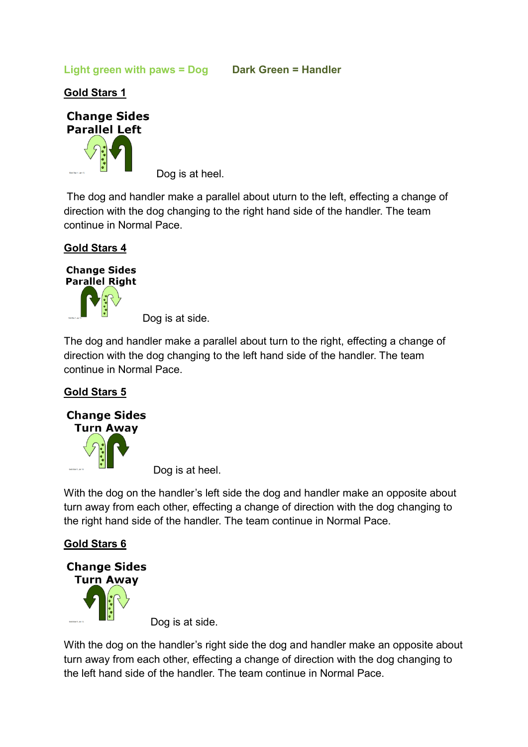**Light green with paws = Dog Dark Green = Handler**

**Gold Stars 1**



Dog is at heel.

The dog and handler make a parallel about uturn to the left, effecting a change of direction with the dog changing to the right hand side of the handler. The team continue in Normal Pace.

## **Gold Stars 4**



Dog is at side.

The dog and handler make a parallel about turn to the right, effecting a change of direction with the dog changing to the left hand side of the handler. The team continue in Normal Pace.

# **Gold Stars 5**



Dog is at heel.

With the dog on the handler's left side the dog and handler make an opposite about turn away from each other, effecting a change of direction with the dog changing to the right hand side of the handler. The team continue in Normal Pace.

# **Gold Stars 6**



Dog is at side.

With the dog on the handler's right side the dog and handler make an opposite about turn away from each other, effecting a change of direction with the dog changing to the left hand side of the handler. The team continue in Normal Pace.